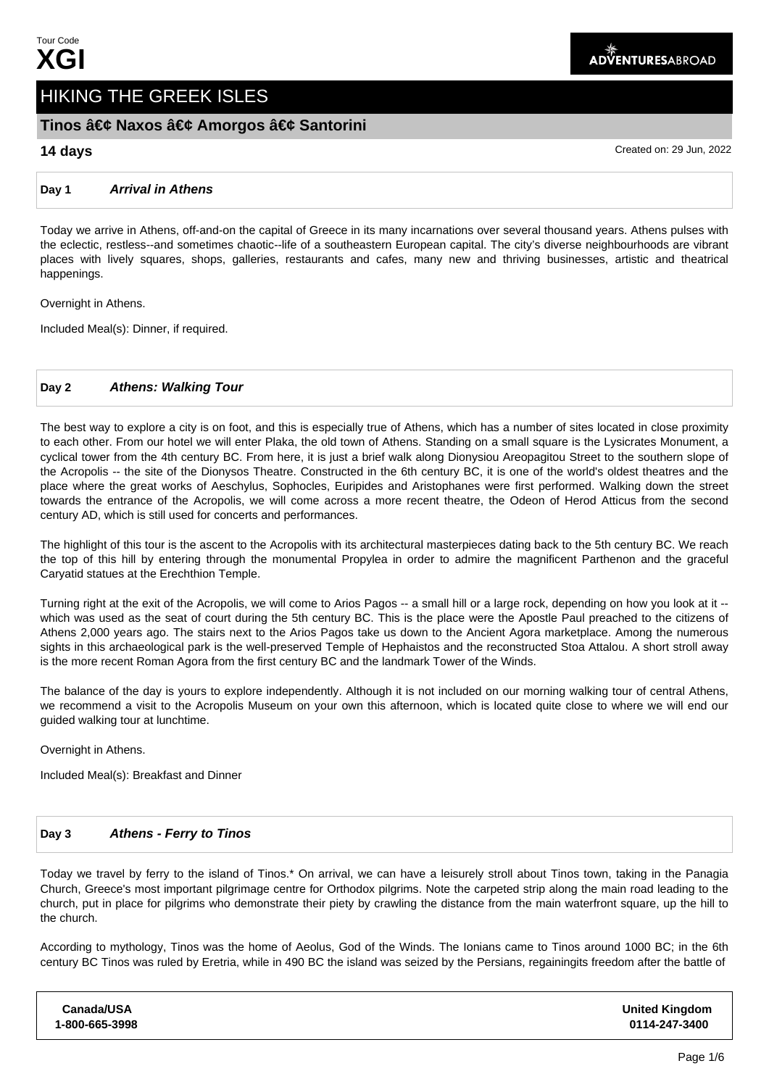# HIKING THE GREEK ISLES

# Tinos • Naxos • Amorgos • Santorini

**14 days** Created on: 29 Jun, 2022

#### **Day 1 Arrival in Athens**

Today we arrive in Athens, off-and-on the capital of Greece in its many incarnations over several thousand years. Athens pulses with the eclectic, restless--and sometimes chaotic--life of a southeastern European capital. The city's diverse neighbourhoods are vibrant places with lively squares, shops, galleries, restaurants and cafes, many new and thriving businesses, artistic and theatrical happenings.

Overnight in Athens.

Included Meal(s): Dinner, if required.

### **Day 2 Athens: Walking Tour**

The best way to explore a city is on foot, and this is especially true of Athens, which has a number of sites located in close proximity to each other. From our hotel we will enter Plaka, the old town of Athens. Standing on a small square is the Lysicrates Monument, a cyclical tower from the 4th century BC. From here, it is just a brief walk along Dionysiou Areopagitou Street to the southern slope of the Acropolis -- the site of the Dionysos Theatre. Constructed in the 6th century BC, it is one of the world's oldest theatres and the place where the great works of Aeschylus, Sophocles, Euripides and Aristophanes were first performed. Walking down the street towards the entrance of the Acropolis, we will come across a more recent theatre, the Odeon of Herod Atticus from the second century AD, which is still used for concerts and performances.

The highlight of this tour is the ascent to the Acropolis with its architectural masterpieces dating back to the 5th century BC. We reach the top of this hill by entering through the monumental Propylea in order to admire the magnificent Parthenon and the graceful Caryatid statues at the Erechthion Temple.

Turning right at the exit of the Acropolis, we will come to Arios Pagos -- a small hill or a large rock, depending on how you look at it - which was used as the seat of court during the 5th century BC. This is the place were the Apostle Paul preached to the citizens of Athens 2,000 years ago. The stairs next to the Arios Pagos take us down to the Ancient Agora marketplace. Among the numerous sights in this archaeological park is the well-preserved Temple of Hephaistos and the reconstructed Stoa Attalou. A short stroll away is the more recent Roman Agora from the first century BC and the landmark Tower of the Winds.

The balance of the day is yours to explore independently. Although it is not included on our morning walking tour of central Athens, we recommend a visit to the Acropolis Museum on your own this afternoon, which is located quite close to where we will end our guided walking tour at lunchtime.

Overnight in Athens.

Included Meal(s): Breakfast and Dinner

#### **Day 3 Athens - Ferry to Tinos**

Today we travel by ferry to the island of Tinos.\* On arrival, we can have a leisurely stroll about Tinos town, taking in the Panagia Church, Greece's most important pilgrimage centre for Orthodox pilgrims. Note the carpeted strip along the main road leading to the church, put in place for pilgrims who demonstrate their piety by crawling the distance from the main waterfront square, up the hill to the church.

According to mythology, Tinos was the home of Aeolus, God of the Winds. The Ionians came to Tinos around 1000 BC; in the 6th century BC Tinos was ruled by Eretria, while in 490 BC the island was seized by the Persians, regaining its freedom after the battle of

| Canada/USA     | <b>United Kingdom</b> |
|----------------|-----------------------|
| 1-800-665-3998 | 0114-247-3400         |
|                |                       |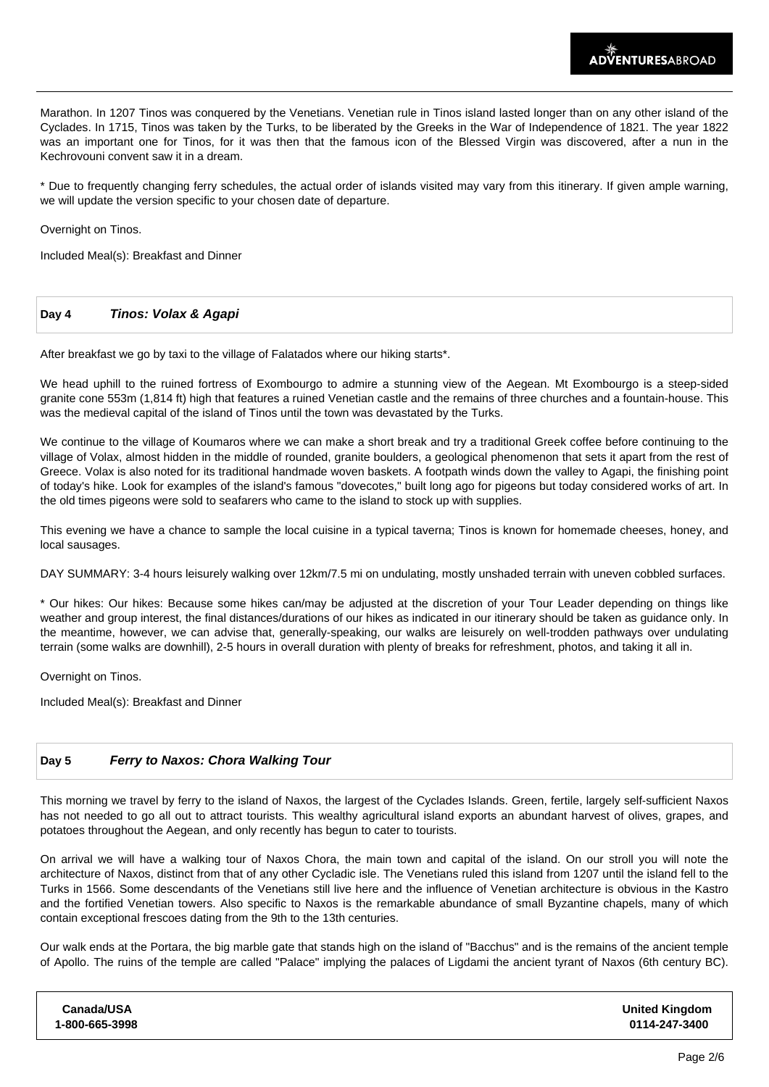Marathon. In 1207 Tinos was conquered by the Venetians. Venetian rule in Tinos island lasted longer than on any other island of the Cyclades. In 1715, Tinos was taken by the Turks, to be liberated by the Greeks in the War of Independence of 1821. The year 1822 was an important one for Tinos, for it was then that the famous icon of the Blessed Virgin was discovered, after a nun in the Kechrovouni convent saw it in a dream.

\* Due to frequently changing ferry schedules, the actual order of islands visited may vary from this itinerary. If given ample warning, we will update the version specific to your chosen date of departure.

Overnight on Tinos.

Included Meal(s): Breakfast and Dinner

#### **Day 4 Tinos: Volax & Agapi**

After breakfast we go by taxi to the village of Falatados where our hiking starts\*.

We head uphill to the ruined fortress of Exombourgo to admire a stunning view of the Aegean. Mt Exombourgo is a steep-sided granite cone 553m (1,814 ft) high that features a ruined Venetian castle and the remains of three churches and a fountain-house. This was the medieval capital of the island of Tinos until the town was devastated by the Turks.

We continue to the village of Koumaros where we can make a short break and try a traditional Greek coffee before continuing to the village of Volax, almost hidden in the middle of rounded, granite boulders, a geological phenomenon that sets it apart from the rest of Greece. Volax is also noted for its traditional handmade woven baskets. A footpath winds down the valley to Agapi, the finishing point of today's hike. Look for examples of the island's famous "dovecotes," built long ago for pigeons but today considered works of art. In the old times pigeons were sold to seafarers who came to the island to stock up with supplies.

This evening we have a chance to sample the local cuisine in a typical taverna; Tinos is known for homemade cheeses, honey, and local sausages.

DAY SUMMARY: 3-4 hours leisurely walking over 12km/7.5 mi on undulating, mostly unshaded terrain with uneven cobbled surfaces.

\* Our hikes: Our hikes: Because some hikes can/may be adjusted at the discretion of your Tour Leader depending on things like weather and group interest, the final distances/durations of our hikes as indicated in our itinerary should be taken as guidance only. In the meantime, however, we can advise that, generally-speaking, our walks are leisurely on well-trodden pathways over undulating terrain (some walks are downhill), 2-5 hours in overall duration with plenty of breaks for refreshment, photos, and taking it all in.

Overnight on Tinos.

Included Meal(s): Breakfast and Dinner

#### **Day 5 Ferry to Naxos: Chora Walking Tour**

This morning we travel by ferry to the island of Naxos, the largest of the Cyclades Islands. Green, fertile, largely self-sufficient Naxos has not needed to go all out to attract tourists. This wealthy agricultural island exports an abundant harvest of olives, grapes, and potatoes throughout the Aegean, and only recently has begun to cater to tourists.

On arrival we will have a walking tour of Naxos Chora, the main town and capital of the island. On our stroll you will note the architecture of Naxos, distinct from that of any other Cycladic isle. The Venetians ruled this island from 1207 until the island fell to the Turks in 1566. Some descendants of the Venetians still live here and the influence of Venetian architecture is obvious in the Kastro and the fortified Venetian towers. Also specific to Naxos is the remarkable abundance of small Byzantine chapels, many of which contain exceptional frescoes dating from the 9th to the 13th centuries.

Our walk ends at the Portara, the big marble gate that stands high on the island of "Bacchus" and is the remains of the ancient temple of Apollo. The ruins of the temple are called "Palace" implying the palaces of Ligdami the ancient tyrant of Naxos (6th century BC).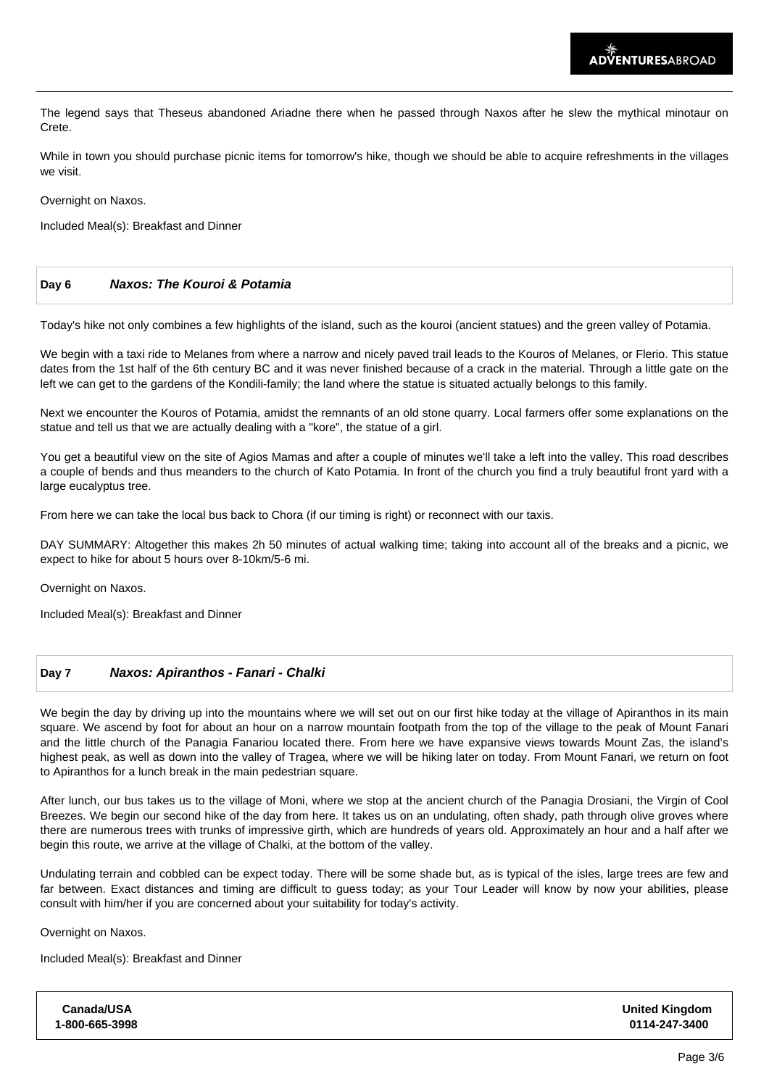The legend says that Theseus abandoned Ariadne there when he passed through Naxos after he slew the mythical minotaur on Crete.

While in town you should purchase picnic items for tomorrow's hike, though we should be able to acquire refreshments in the villages we visit.

Overnight on Naxos.

Included Meal(s): Breakfast and Dinner

| Day 6 | <b>Naxos: The Kouroi &amp; Potamia</b> |  |
|-------|----------------------------------------|--|
|       |                                        |  |

Today's hike not only combines a few highlights of the island, such as the kouroi (ancient statues) and the green valley of Potamia.

We begin with a taxi ride to Melanes from where a narrow and nicely paved trail leads to the Kouros of Melanes, or Flerio. This statue dates from the 1st half of the 6th century BC and it was never finished because of a crack in the material. Through a little gate on the left we can get to the gardens of the Kondili-family; the land where the statue is situated actually belongs to this family.

Next we encounter the Kouros of Potamia, amidst the remnants of an old stone quarry. Local farmers offer some explanations on the statue and tell us that we are actually dealing with a "kore", the statue of a girl.

You get a beautiful view on the site of Agios Mamas and after a couple of minutes we'll take a left into the valley. This road describes a couple of bends and thus meanders to the church of Kato Potamia. In front of the church you find a truly beautiful front yard with a large eucalyptus tree.

From here we can take the local bus back to Chora (if our timing is right) or reconnect with our taxis.

DAY SUMMARY: Altogether this makes 2h 50 minutes of actual walking time; taking into account all of the breaks and a picnic, we expect to hike for about 5 hours over 8-10km/5-6 mi.

Overnight on Naxos.

Included Meal(s): Breakfast and Dinner

#### **Day 7 Naxos: Apiranthos - Fanari - Chalki**

We begin the day by driving up into the mountains where we will set out on our first hike today at the village of Apiranthos in its main square. We ascend by foot for about an hour on a narrow mountain footpath from the top of the village to the peak of Mount Fanari and the little church of the Panagia Fanariou located there. From here we have expansive views towards Mount Zas, the island's highest peak, as well as down into the valley of Tragea, where we will be hiking later on today. From Mount Fanari, we return on foot to Apiranthos for a lunch break in the main pedestrian square.

After lunch, our bus takes us to the village of Moni, where we stop at the ancient church of the Panagia Drosiani, the Virgin of Cool Breezes. We begin our second hike of the day from here. It takes us on an undulating, often shady, path through olive groves where there are numerous trees with trunks of impressive girth, which are hundreds of years old. Approximately an hour and a half after we begin this route, we arrive at the village of Chalki, at the bottom of the valley.

Undulating terrain and cobbled can be expect today. There will be some shade but, as is typical of the isles, large trees are few and far between. Exact distances and timing are difficult to guess today; as your Tour Leader will know by now your abilities, please consult with him/her if you are concerned about your suitability for today's activity.

Overnight on Naxos.

Included Meal(s): Breakfast and Dinner

| Canada/USA     | <b>United Kingdom</b> |
|----------------|-----------------------|
| 1-800-665-3998 | 0114-247-3400         |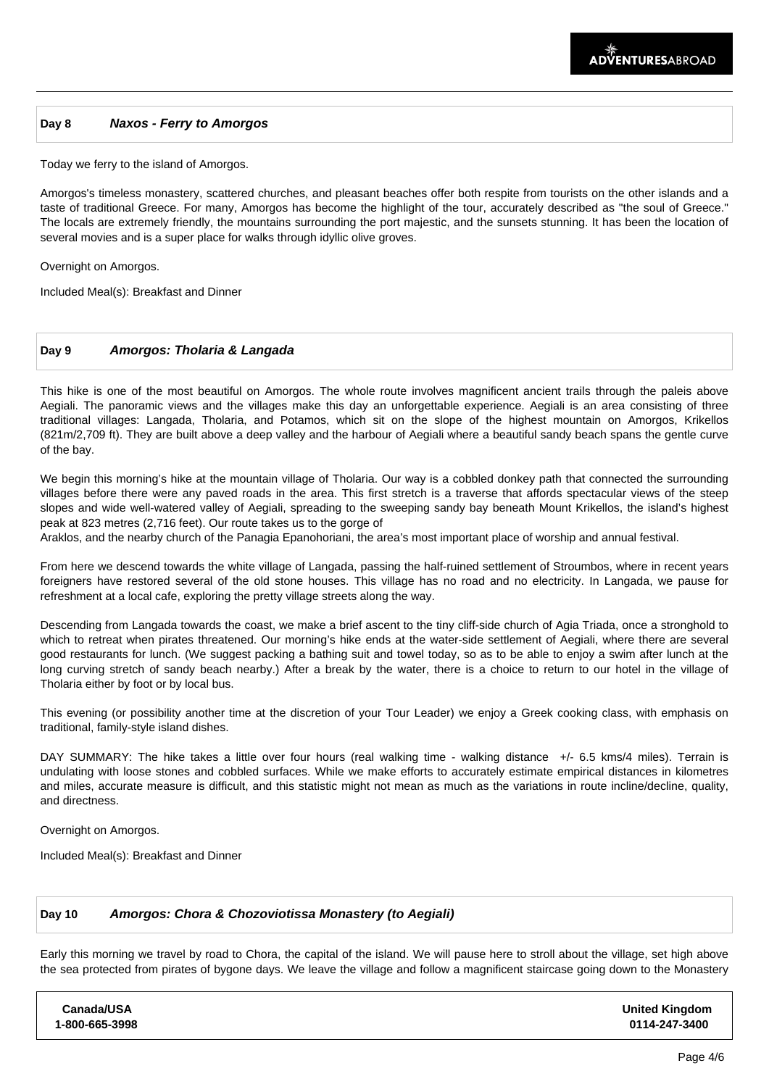#### **Day 8 Naxos - Ferry to Amorgos**

Today we ferry to the island of Amorgos.

Amorgos's timeless monastery, scattered churches, and pleasant beaches offer both respite from tourists on the other islands and a taste of traditional Greece. For many, Amorgos has become the highlight of the tour, accurately described as "the soul of Greece." The locals are extremely friendly, the mountains surrounding the port majestic, and the sunsets stunning. It has been the location of several movies and is a super place for walks through idyllic olive groves.

Overnight on Amorgos.

Included Meal(s): Breakfast and Dinner

#### **Day 9 Amorgos: Tholaria & Langada**

This hike is one of the most beautiful on Amorgos. The whole route involves magnificent ancient trails through the paleis above Aegiali. The panoramic views and the villages make this day an unforgettable experience. Aegiali is an area consisting of three traditional villages: Langada, Tholaria, and Potamos, which sit on the slope of the highest mountain on Amorgos, Krikellos (821m/2,709 ft). They are built above a deep valley and the harbour of Aegiali where a beautiful sandy beach spans the gentle curve of the bay.

We begin this morning's hike at the mountain village of Tholaria. Our way is a cobbled donkey path that connected the surrounding villages before there were any paved roads in the area. This first stretch is a traverse that affords spectacular views of the steep slopes and wide well-watered valley of Aegiali, spreading to the sweeping sandy bay beneath Mount Krikellos, the island's highest peak at 823 metres (2,716 feet). Our route takes us to the gorge of

Araklos, and the nearby church of the Panagia Epanohoriani, the area's most important place of worship and annual festival.

From here we descend towards the white village of Langada, passing the half-ruined settlement of Stroumbos, where in recent years foreigners have restored several of the old stone houses. This village has no road and no electricity. In Langada, we pause for refreshment at a local cafe, exploring the pretty village streets along the way.

Descending from Langada towards the coast, we make a brief ascent to the tiny cliff-side church of Agia Triada, once a stronghold to which to retreat when pirates threatened. Our morning's hike ends at the water-side settlement of Aegiali, where there are several good restaurants for lunch. (We suggest packing a bathing suit and towel today, so as to be able to enjoy a swim after lunch at the long curving stretch of sandy beach nearby.) After a break by the water, there is a choice to return to our hotel in the village of Tholaria either by foot or by local bus.

This evening (or possibility another time at the discretion of your Tour Leader) we enjoy a Greek cooking class, with emphasis on traditional, family-style island dishes.

DAY SUMMARY: The hike takes a little over four hours (real walking time - walking distance +/- 6.5 kms/4 miles). Terrain is undulating with loose stones and cobbled surfaces. While we make efforts to accurately estimate empirical distances in kilometres and miles, accurate measure is difficult, and this statistic might not mean as much as the variations in route incline/decline, quality, and directness.

Overnight on Amorgos.

Included Meal(s): Breakfast and Dinner

#### **Day 10 Amorgos: Chora & Chozoviotissa Monastery (to Aegiali)**

Early this morning we travel by road to Chora, the capital of the island. We will pause here to stroll about the village, set high above the sea protected from pirates of bygone days. We leave the village and follow a magnificent staircase going down to the Monastery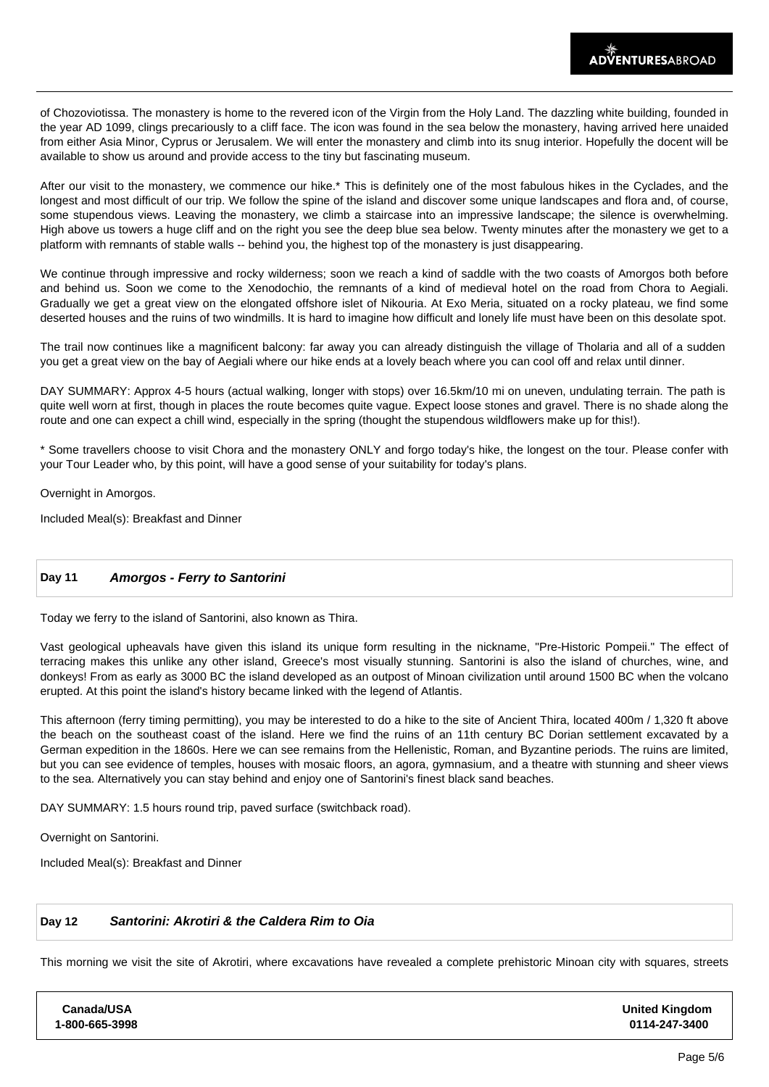of Chozoviotissa. The monastery is home to the revered icon of the Virgin from the Holy Land. The dazzling white building, founded in the year AD 1099, clings precariously to a cliff face. The icon was found in the sea below the monastery, having arrived here unaided from either Asia Minor, Cyprus or Jerusalem. We will enter the monastery and climb into its snug interior. Hopefully the docent will be available to show us around and provide access to the tiny but fascinating museum.

After our visit to the monastery, we commence our hike.\* This is definitely one of the most fabulous hikes in the Cyclades, and the longest and most difficult of our trip. We follow the spine of the island and discover some unique landscapes and flora and, of course, some stupendous views. Leaving the monastery, we climb a staircase into an impressive landscape; the silence is overwhelming. High above us towers a huge cliff and on the right you see the deep blue sea below. Twenty minutes after the monastery we get to a platform with remnants of stable walls -- behind you, the highest top of the monastery is just disappearing.

We continue through impressive and rocky wilderness; soon we reach a kind of saddle with the two coasts of Amorgos both before and behind us. Soon we come to the Xenodochio, the remnants of a kind of medieval hotel on the road from Chora to Aegiali. Gradually we get a great view on the elongated offshore islet of Nikouria. At Exo Meria, situated on a rocky plateau, we find some deserted houses and the ruins of two windmills. It is hard to imagine how difficult and lonely life must have been on this desolate spot.

The trail now continues like a magnificent balcony: far away you can already distinguish the village of Tholaria and all of a sudden you get a great view on the bay of Aegiali where our hike ends at a lovely beach where you can cool off and relax until dinner.

DAY SUMMARY: Approx 4-5 hours (actual walking, longer with stops) over 16.5km/10 mi on uneven, undulating terrain. The path is quite well worn at first, though in places the route becomes quite vague. Expect loose stones and gravel. There is no shade along the route and one can expect a chill wind, especially in the spring (thought the stupendous wildflowers make up for this!).

\* Some travellers choose to visit Chora and the monastery ONLY and forgo today's hike, the longest on the tour. Please confer with your Tour Leader who, by this point, will have a good sense of your suitability for today's plans.

Overnight in Amorgos.

Included Meal(s): Breakfast and Dinner

## **Day 11 Amorgos - Ferry to Santorini**

Today we ferry to the island of Santorini, also known as Thira.

Vast geological upheavals have given this island its unique form resulting in the nickname, "Pre-Historic Pompeii." The effect of terracing makes this unlike any other island, Greece's most visually stunning. Santorini is also the island of churches, wine, and donkeys! From as early as 3000 BC the island developed as an outpost of Minoan civilization until around 1500 BC when the volcano erupted. At this point the island's history became linked with the legend of Atlantis.

This afternoon (ferry timing permitting), you may be interested to do a hike to the site of Ancient Thira, located 400m / 1,320 ft above the beach on the southeast coast of the island. Here we find the ruins of an 11th century BC Dorian settlement excavated by a German expedition in the 1860s. Here we can see remains from the Hellenistic, Roman, and Byzantine periods. The ruins are limited, but you can see evidence of temples, houses with mosaic floors, an agora, gymnasium, and a theatre with stunning and sheer views to the sea. Alternatively you can stay behind and enjoy one of Santorini's finest black sand beaches.

DAY SUMMARY: 1.5 hours round trip, paved surface (switchback road).

Overnight on Santorini.

Included Meal(s): Breakfast and Dinner

# **Day 12 Santorini: Akrotiri & the Caldera Rim to Oia**

This morning we visit the site of Akrotiri, where excavations have revealed a complete prehistoric Minoan city with squares, streets

| <b>United Kingdom</b><br>0114-247-3400 |
|----------------------------------------|
|                                        |